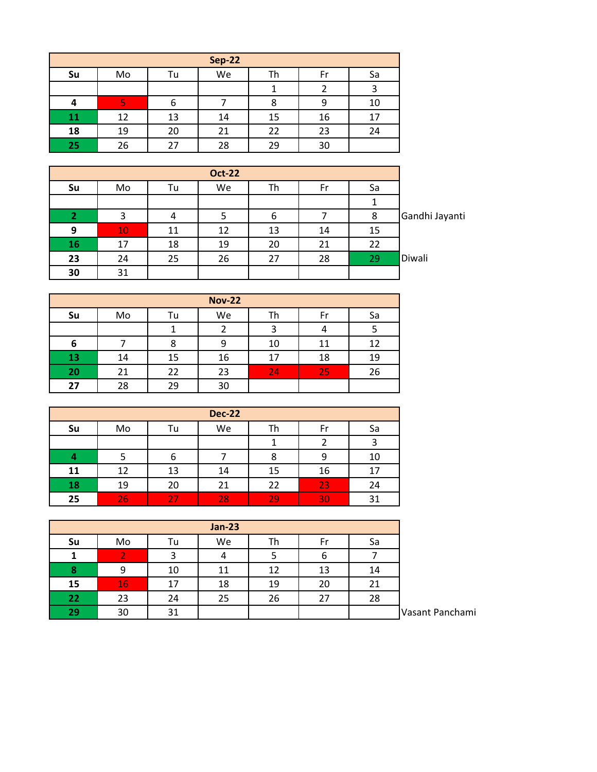|           | <b>Sep-22</b> |    |    |    |    |    |  |  |  |  |  |
|-----------|---------------|----|----|----|----|----|--|--|--|--|--|
| Su        | Mo            | Tu | We | Th | Fr | Sa |  |  |  |  |  |
|           |               |    |    |    |    |    |  |  |  |  |  |
|           | o             | 6  |    | 8  |    | 10 |  |  |  |  |  |
| <b>11</b> | 12            | 13 | 14 | 15 | 16 | 17 |  |  |  |  |  |
| 18        | 19            | 20 | 21 | 22 | 23 | 24 |  |  |  |  |  |
| 25        | 26            | 27 | 28 | 29 | 30 |    |  |  |  |  |  |

| Su | Mo | Tu | We | Th | Fr | Sa  |                |
|----|----|----|----|----|----|-----|----------------|
|    |    |    |    |    |    |     |                |
| 2  |    |    |    | b  |    | 8   | Gandhi Jayanti |
| 9  | 10 | 11 | 12 | 13 | 14 | 15  |                |
| 16 | 17 | 18 | 19 | 20 | 21 | 22  |                |
| 23 | 24 | 25 | 26 | 27 | 28 | -29 | Diwali         |
| 30 | 31 |    |    |    |    |     |                |

| <b>Nov-22</b>   |    |    |    |    |    |    |  |  |  |
|-----------------|----|----|----|----|----|----|--|--|--|
| Su              | Mo | Tu | We | Th | Fr | Sa |  |  |  |
|                 |    |    |    |    |    |    |  |  |  |
| 6               |    | 8  |    | 10 | 11 | 12 |  |  |  |
| $\overline{13}$ | 14 | 15 | 16 | 17 | 18 | 19 |  |  |  |
| 20              | 21 | 22 | 23 | 24 | 25 | 26 |  |  |  |
| 27              | 28 | 29 | 30 |    |    |    |  |  |  |

| <b>Dec-22</b> |    |    |    |    |    |    |  |  |  |  |
|---------------|----|----|----|----|----|----|--|--|--|--|
| Su            | Mo | Гu | We | Тh | Fr | Sa |  |  |  |  |
|               |    |    |    |    |    |    |  |  |  |  |
|               |    | b  |    | 8  | 9  | 10 |  |  |  |  |
| 11            | 12 | 13 | 14 | 15 | 16 | 17 |  |  |  |  |
| 18            | 19 | 20 | 21 | 22 | 23 | 24 |  |  |  |  |
| 25            | 26 |    | 28 | 29 | 30 | 31 |  |  |  |  |

| <b>Jan-23</b> |    |    |    |    |    |    |  |  |  |  |
|---------------|----|----|----|----|----|----|--|--|--|--|
| Su            | Mo | Tu | We | Th | Fr | Sa |  |  |  |  |
|               |    | 3  |    |    | ь  |    |  |  |  |  |
| 8             | 9  | 10 | 11 | 12 | 13 | 14 |  |  |  |  |
| 15            | 16 | 17 | 18 | 19 | 20 | 21 |  |  |  |  |
| 22            | 23 | 24 | 25 | 26 | 27 | 28 |  |  |  |  |
| 29            | 30 | 31 |    |    |    |    |  |  |  |  |

Panchami